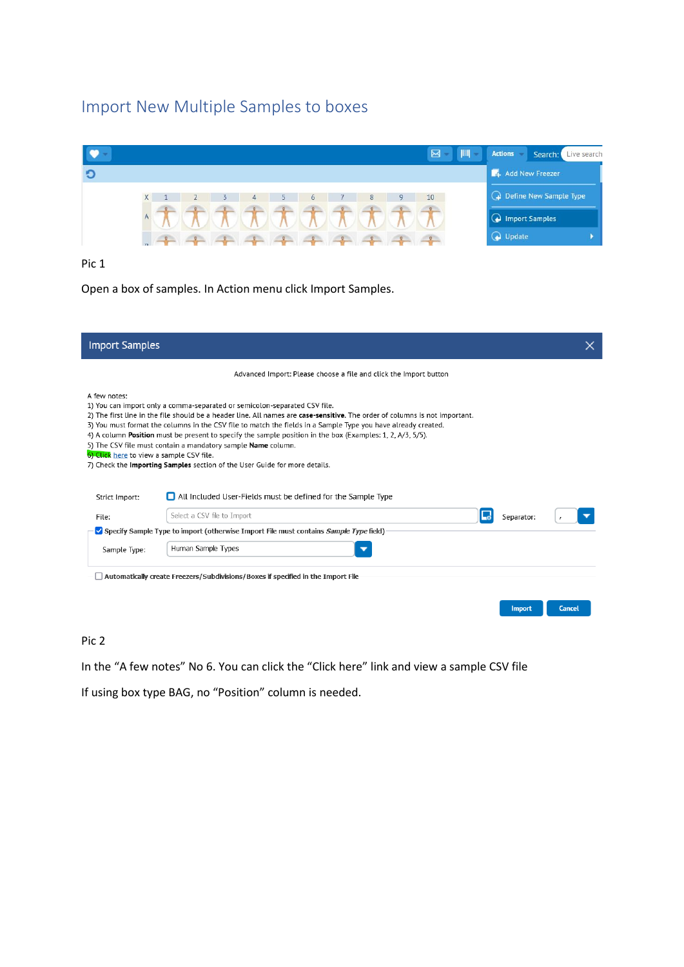# Import New Multiple Samples to boxes



Pic 1

Open a box of samples. In Action menu click Import Samples.

| <b>Import Samples</b>                                    |                                                                                                                                                                                                                                                                                                                                                                                                                                                                                                                                                                                                     |            |        |
|----------------------------------------------------------|-----------------------------------------------------------------------------------------------------------------------------------------------------------------------------------------------------------------------------------------------------------------------------------------------------------------------------------------------------------------------------------------------------------------------------------------------------------------------------------------------------------------------------------------------------------------------------------------------------|------------|--------|
|                                                          | Advanced Import: Please choose a file and click the Import button                                                                                                                                                                                                                                                                                                                                                                                                                                                                                                                                   |            |        |
| A few notes:<br>6) Click here to view a sample CSV file. | 1) You can import only a comma-separated or semicolon-separated CSV file.<br>2) The first line in the file should be a header line. All names are case-sensitive. The order of columns is not important.<br>3) You must format the columns in the CSV file to match the fields in a Sample Type you have already created.<br>4) A column <b>Position</b> must be present to specify the sample position in the box (Examples: 1, 2, A/3, 5/5).<br>5) The CSV file must contain a mandatory sample <b>Name</b> column.<br>7) Check the Importing Samples section of the User Guide for more details. |            |        |
| Strict Import:                                           | All Included User-Fields must be defined for the Sample Type                                                                                                                                                                                                                                                                                                                                                                                                                                                                                                                                        |            |        |
| File:                                                    | Select a CSV file to Import                                                                                                                                                                                                                                                                                                                                                                                                                                                                                                                                                                         | Separator: |        |
|                                                          | Specify Sample Type to import (otherwise Import File must contains Sample Type field)                                                                                                                                                                                                                                                                                                                                                                                                                                                                                                               |            |        |
| Sample Type:                                             | Human Sample Types                                                                                                                                                                                                                                                                                                                                                                                                                                                                                                                                                                                  |            |        |
|                                                          | Automatically create Freezers/Subdivisions/Boxes if specified in the Import File                                                                                                                                                                                                                                                                                                                                                                                                                                                                                                                    | Import     | Cancel |

# Pic 2

In the "A few notes" No 6. You can click the "Click here" link and view a sample CSV file

If using box type BAG, no "Position" column is needed.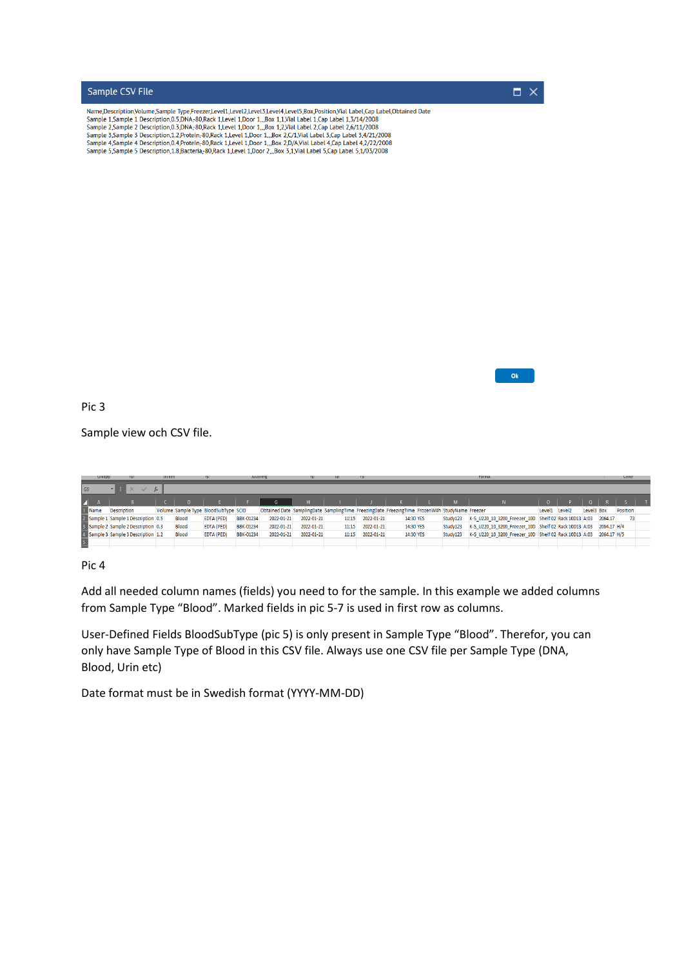

|                          | <b>UINIUD</b> | - 124                               | <b>ILCUNCII</b> |              |                                      | <b>SUSTEINING</b> |                                                                                               |            | - 101 |            |           |          |                                                                   |               |            |         | neuer           |  |
|--------------------------|---------------|-------------------------------------|-----------------|--------------|--------------------------------------|-------------------|-----------------------------------------------------------------------------------------------|------------|-------|------------|-----------|----------|-------------------------------------------------------------------|---------------|------------|---------|-----------------|--|
| G <sub>9</sub>           |               |                                     |                 |              |                                      |                   |                                                                                               |            |       |            |           |          |                                                                   |               |            |         |                 |  |
| $\blacktriangle$ A       |               |                                     |                 |              |                                      |                   | G                                                                                             | н.         |       |            |           |          |                                                                   |               |            |         |                 |  |
| 1 Name                   |               | <b>Description</b>                  |                 |              | Volume Sample Type BloodSubType SCID |                   | Obtained Date SamplingDate SamplingTime FreezingDate FreezingTime FrozenW4h StudyName Freezer |            |       |            |           |          |                                                                   | Level1 Level2 | Level3 Box |         | <b>Position</b> |  |
|                          |               | 2 Sample 1 Sample 1 Description 0.5 |                 | <b>Blood</b> | <b>EDTA (PED)</b>                    | BBK-01234         | 2022-01-21                                                                                    | 2022-01-21 | 11:15 | 2022-01-21 | 14:30 YES | Study123 | K-S U220 10 3200 Freezer 10D Shelf 02 Rack 10D13 A:03             |               |            | 2064.17 | 73              |  |
|                          |               | 3 Sample 2 Sample 2 Description 0.3 |                 | <b>Blood</b> | EDTA (PED)                           | <b>BBK-01234</b>  | 2022-01-21                                                                                    | 2022-01-21 | 11:15 | 2022-01-21 | 14:30 YES | Study123 | K-S U220 10 3200 Freezer 10D Shelf 02 Rack 10D13 A:03 2064.17 H/4 |               |            |         |                 |  |
|                          |               | 4 Sample 3 Sample 3 Description 1.2 |                 | <b>Blood</b> | <b>EDTA (PED)</b>                    | <b>BBK-01234</b>  | 2022-01-21                                                                                    | 2022-01-21 | 11:15 | 2022-01-21 | 14:30 YES | Study123 | K-S U220 10 3200 Freezer 10D Shelf 02 Rack 10D13 A:03 2064.17 H/5 |               |            |         |                 |  |
| $\overline{\phantom{a}}$ |               |                                     |                 |              |                                      |                   |                                                                                               |            |       |            |           |          |                                                                   |               |            |         |                 |  |

Add all needed column names (fields) you need to for the sample. In this example we added columns from Sample Type "Blood". Marked fields in pic 5-7 is used in first row as columns.

User-Defined Fields BloodSubType (pic 5) is only present in Sample Type "Blood". Therefor, you can only have Sample Type of Blood in this CSV file. Always use one CSV file per Sample Type (DNA, Blood, Urin etc)

Date format must be in Swedish format (YYYY-MM-DD)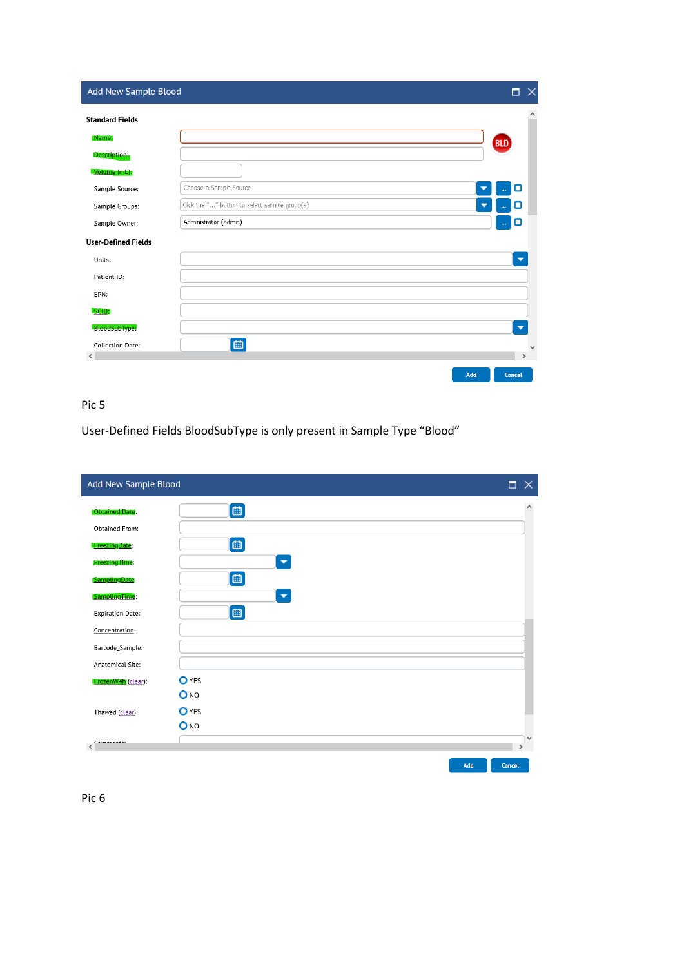| Add New Sample Blood       |                                               | $\times$<br>п            |
|----------------------------|-----------------------------------------------|--------------------------|
| <b>Standard Fields</b>     |                                               |                          |
| Name:                      |                                               | <b>BLD</b>               |
| Description:               |                                               |                          |
| Volume (mL):               |                                               |                          |
| Sample Source:             | Choose a Sample Source                        | O<br>▼<br>               |
| Sample Groups:             | Click the "" button to select sample group(s) | ο<br>a.                  |
| Sample Owner:              | Administrator (admin)                         | o<br>in.                 |
| <b>User-Defined Fields</b> |                                               |                          |
| Units:                     |                                               | ▼                        |
| Patient ID:                |                                               |                          |
| EPN:                       |                                               |                          |
| SCID:                      |                                               |                          |
| BloodSubType:              |                                               | $\overline{\phantom{0}}$ |
| <b>Collection Date:</b>    | 画                                             |                          |
| ∢                          |                                               |                          |
|                            |                                               | Add<br>Cancel            |

User-Defined Fields BloodSubType is only present in Sample Type "Blood"

| Add New Sample Blood    | п                    | $\times$     |
|-------------------------|----------------------|--------------|
| <b>Obtained Date:</b>   | 画                    | $\hat{}$     |
| <b>Obtained From:</b>   |                      |              |
| FreezingDate:           | 画                    |              |
| Freezing Time:          | $\blacktriangledown$ |              |
| SamplingDate:           | 画                    |              |
| SamplingTime:           | $\blacktriangledown$ |              |
| <b>Expiration Date:</b> | 画                    |              |
| Concentration:          |                      |              |
| Barcode_Sample:         |                      |              |
| Anatomical Site:        |                      |              |
| FrozenW4h (clear):      | <b>O</b> YES         |              |
|                         | O <sub>NO</sub>      |              |
| Thawed (clear):         | <b>O</b> YES         |              |
|                         | O <sub>NO</sub>      |              |
| ------                  | $\rightarrow$        | $\checkmark$ |
|                         | Add<br>Cancel        |              |

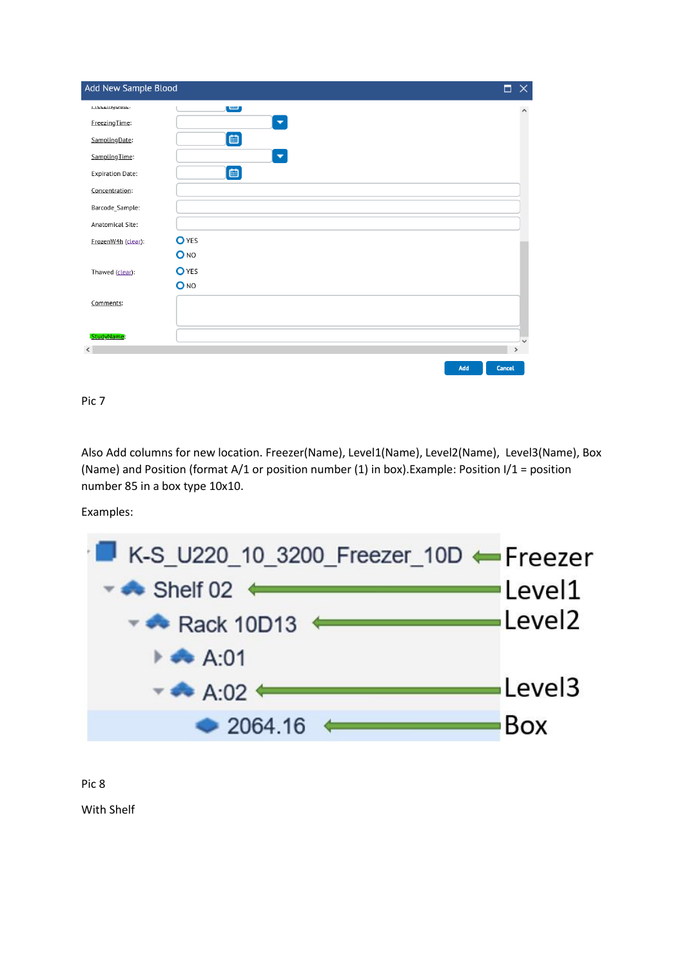| Add New Sample Blood    |                          | п            |              |
|-------------------------|--------------------------|--------------|--------------|
| incezingoate.           | ر س                      |              |              |
| FreezingTime:           | $\overline{\phantom{a}}$ |              |              |
| SamplingDate:           | 画                        |              |              |
| SamplingTime:           | $\blacktriangledown$     |              |              |
| <b>Expiration Date:</b> | 画                        |              |              |
| Concentration:          |                          |              |              |
| Barcode_Sample:         |                          |              |              |
| Anatomical Site:        |                          |              |              |
| FrozenW4h (clear):      | <b>O</b> YES             |              |              |
|                         | O <sub>NO</sub>          |              |              |
| Thawed (clear):         | <b>O</b> YES             |              |              |
|                         | O <sub>NO</sub>          |              |              |
| Comments:               |                          |              |              |
|                         |                          |              |              |
| StudyName:              |                          |              | $\checkmark$ |
|                         |                          | $\mathbf{v}$ |              |
|                         | Add                      | Cancel       |              |

Also Add columns for new location. Freezer(Name), Level1(Name), Level2(Name), Level3(Name), Box (Name) and Position (format A/1 or position number (1) in box).Example: Position I/1 = position number 85 in a box type 10x10.

Examples:



Pic 8

With Shelf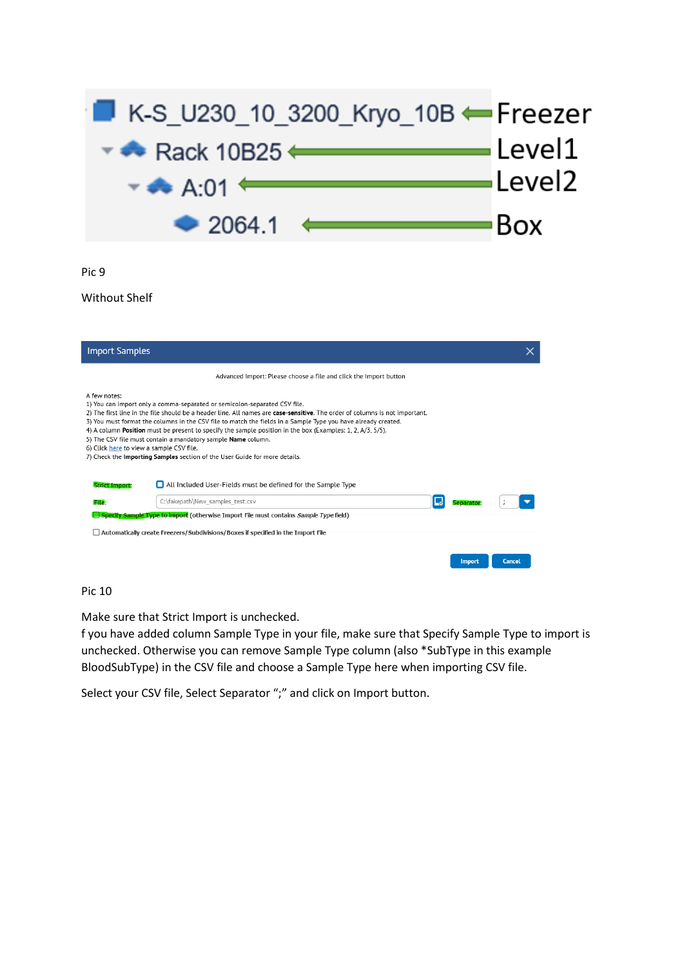

Without Shelf

| <b>Import Samples</b>                                    |                                                                                                                                                                                                                                                                                                                                                                                                                                                                                                                                                                                              |               |        |
|----------------------------------------------------------|----------------------------------------------------------------------------------------------------------------------------------------------------------------------------------------------------------------------------------------------------------------------------------------------------------------------------------------------------------------------------------------------------------------------------------------------------------------------------------------------------------------------------------------------------------------------------------------------|---------------|--------|
|                                                          | Advanced Import: Please choose a file and click the Import button                                                                                                                                                                                                                                                                                                                                                                                                                                                                                                                            |               |        |
| A few notes:<br>6) Click here to view a sample CSV file. | 1) You can import only a comma-separated or semicolon-separated CSV file.<br>2) The first line in the file should be a header line. All names are case-sensitive. The order of columns is not important.<br>3) You must format the columns in the CSV file to match the fields in a Sample Type you have already created.<br>4) A column <b>Position</b> must be present to specify the sample position in the box (Examples: 1, 2, A/3, 5/5).<br>5) The CSV file must contain a mandatory sample Name column.<br>7) Check the Importing Samples section of the User Guide for more details. |               |        |
| <b>Strict Import:</b>                                    | All Included User-Fields must be defined for the Sample Type                                                                                                                                                                                                                                                                                                                                                                                                                                                                                                                                 |               |        |
| File <sup>-</sup>                                        | C:\fakepath\New samples test.csv                                                                                                                                                                                                                                                                                                                                                                                                                                                                                                                                                             | Separator     |        |
|                                                          | Specify Sample Type to import (otherwise Import File must contains Sample Type field)<br>$\Box$ Automatically create Freezers/Subdivisions/Boxes if specified in the Import File                                                                                                                                                                                                                                                                                                                                                                                                             | <b>Import</b> | Cancel |

# Pic 10

Make sure that Strict Import is unchecked.

f you have added column Sample Type in your file, make sure that Specify Sample Type to import is unchecked. Otherwise you can remove Sample Type column (also \*SubType in this example BloodSubType) in the CSV file and choose a Sample Type here when importing CSV file.

Select your CSV file, Select Separator ";" and click on Import button.